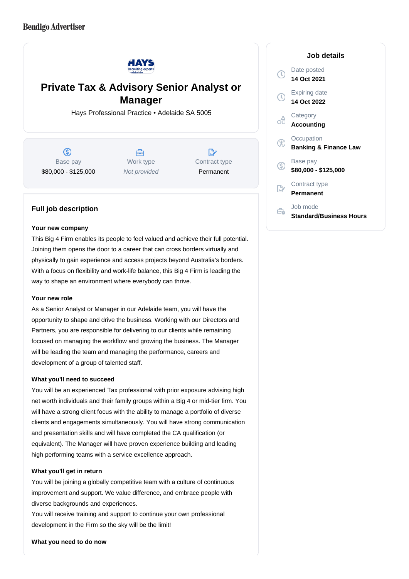

# **Private Tax & Advisory Senior Analyst or Manager**

Hays Professional Practice • Adelaide SA 5005

(S) Base pay \$80,000 - \$125,000

A Work type Not provided

"∕ Contract type Permanent

# **Full job description**

## **Your new company**

This Big 4 Firm enables its people to feel valued and achieve their full potential. Joining them opens the door to a career that can cross borders virtually and physically to gain experience and access projects beyond Australia's borders. With a focus on flexibility and work-life balance, this Big 4 Firm is leading the way to shape an environment where everybody can thrive.

## **Your new role**

As a Senior Analyst or Manager in our Adelaide team, you will have the opportunity to shape and drive the business. Working with our Directors and Partners, you are responsible for delivering to our clients while remaining focused on managing the workflow and growing the business. The Manager will be leading the team and managing the performance, careers and development of a group of talented staff.

## **What you'll need to succeed**

You will be an experienced Tax professional with prior exposure advising high net worth individuals and their family groups within a Big 4 or mid-tier firm. You will have a strong client focus with the ability to manage a portfolio of diverse clients and engagements simultaneously. You will have strong communication and presentation skills and will have completed the CA qualification (or equivalent). The Manager will have proven experience building and leading high performing teams with a service excellence approach.

## **What you'll get in return**

You will be joining a globally competitive team with a culture of continuous improvement and support. We value difference, and embrace people with diverse backgrounds and experiences.

You will receive training and support to continue your own professional development in the Firm so the sky will be the limit!

#### **What you need to do now**

#### **Job details**